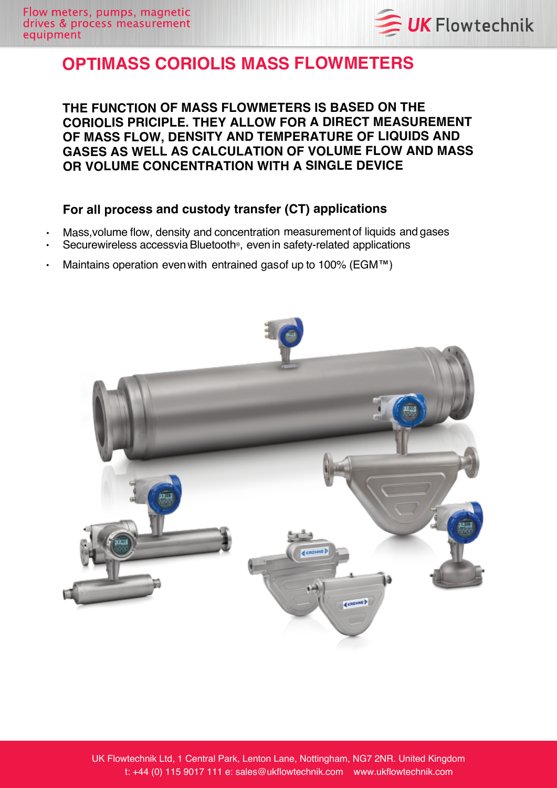

## **OPTIMASS CORIOLIS MASS FLOWMETERS**

**THE FUNCTION OF MASS FLOWMETERS IS BASED ON THE CORIOLIS PRICIPLE. THEY ALLOW FOR <sup>A</sup> DIRECT MEASUREMENT OF MASS FLOW, DENSITY AND TEMPERATURE OF LIQUIDS AND GASES AS WELL AS CALCULATION OF VOLUME FLOW AND MASS OR VOLUME CONCENTRATION WITH <sup>A</sup> SINGLE DEVICE**

## **For all process and custody transfer (CT) applications**

- •Mass,volume flow, density and concentration measurementof liquids and gases
- Securewireless accessvia Bluetooth®, even in safety-related applications
- Maintains operation even with entrained gasof up to 100% (EGM™)